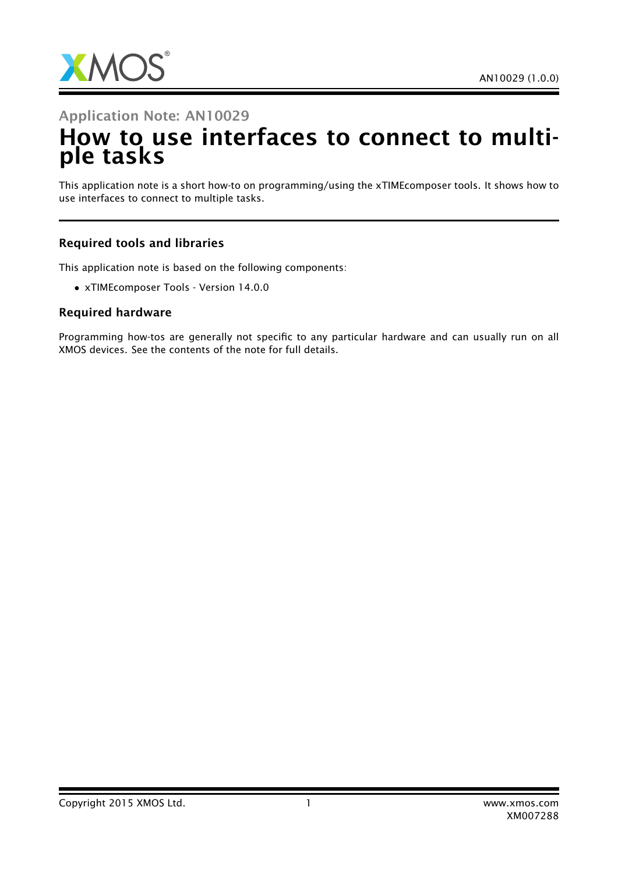

# Application Note: AN10029 How to use interfaces to connect to multiple tasks

This application note is a short how-to on programming/using the xTIMEcomposer tools. It shows how to use interfaces to connect to multiple tasks.

#### Required tools and libraries

This application note is based on the following components:

• xTIMEcomposer Tools - Version 14.0.0

#### Required hardware

Programming how-tos are generally not specific to any particular hardware and can usually run on all XMOS devices. See the contents of the note for full details.